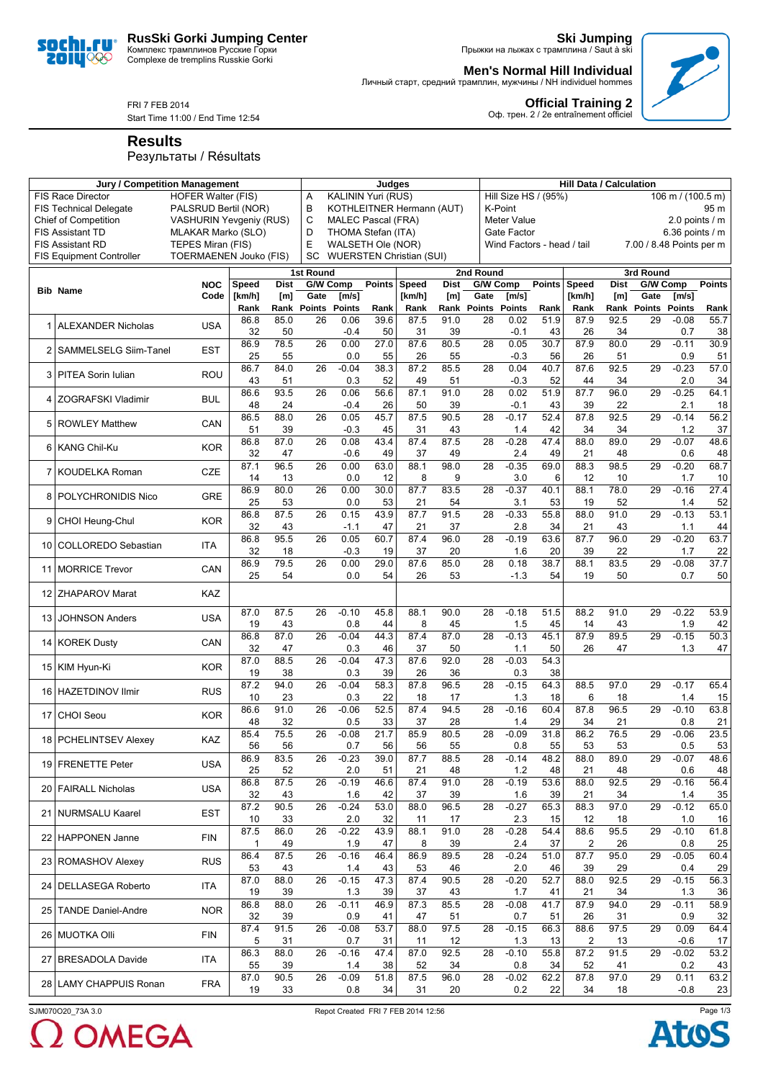

**Ski Jumping** Прыжки на лыжах с трамплина / Saut à ski

**Official Training 2** Оф. трен. 2 / 2e entraînement officiel

**Men's Normal Hill Individual**

Личный старт, средний трамплин, мужчины / NH individuel hommes

FRI 7 FEB 2014

Start Time 11:00 / End Time 12:54

**Results**

soc 20IU<sup>o</sup>

Результаты / Résultats

|                                                       | <b>Jury / Competition Management</b>                       |                                                    | Judges             |             |                       |                |                           |                                 | <b>Hill Data / Calculation</b> |                       |                                           |                            |            |                                               |                       |                |                   |  |
|-------------------------------------------------------|------------------------------------------------------------|----------------------------------------------------|--------------------|-------------|-----------------------|----------------|---------------------------|---------------------------------|--------------------------------|-----------------------|-------------------------------------------|----------------------------|------------|-----------------------------------------------|-----------------------|----------------|-------------------|--|
| <b>FIS Race Director</b><br><b>HOFER Walter (FIS)</b> |                                                            |                                                    |                    |             |                       |                | <b>KALININ Yuri (RUS)</b> |                                 |                                |                       | Hill Size HS / (95%)<br>106 m / (100.5 m) |                            |            |                                               |                       |                |                   |  |
|                                                       | <b>FIS Technical Delegate</b>                              | PALSRUD Bertil (NOR)                               |                    |             | B                     |                |                           | KOTHLEITNER Hermann (AUT)       |                                |                       | K-Point                                   |                            |            |                                               |                       |                |                   |  |
|                                                       | <b>Chief of Competition</b>                                | <b>VASHURIN Yevgeniy (RUS)</b>                     |                    |             | C<br>D                |                | <b>MALEC Pascal (FRA)</b> |                                 |                                |                       | <b>Meter Value</b>                        |                            |            | 2.0 points $/$ m                              |                       |                |                   |  |
| <b>FIS Assistant TD</b>                               |                                                            |                                                    | MLAKAR Marko (SLO) |             |                       |                | THOMA Stefan (ITA)        |                                 |                                |                       | Gate Factor                               |                            |            | 6.36 points $/$ m<br>7.00 / 8.48 Points per m |                       |                |                   |  |
|                                                       | <b>FIS Assistant RD</b><br><b>FIS Equipment Controller</b> | TEPES Miran (FIS)<br><b>TOERMAENEN Jouko (FIS)</b> |                    |             | Е<br>SC               |                | WALSETH Ole (NOR)         | <b>WUERSTEN Christian (SUI)</b> |                                |                       |                                           | Wind Factors - head / tail |            |                                               |                       |                |                   |  |
|                                                       |                                                            |                                                    |                    |             |                       |                |                           |                                 |                                |                       |                                           |                            |            |                                               |                       |                |                   |  |
|                                                       |                                                            | <b>NOC</b>                                         | Speed              | <b>Dist</b> | 1st Round<br>G/W Comp |                | <b>Points</b>             | Speed                           | <b>Dist</b>                    | 2nd Round<br>G/W Comp |                                           | <b>Points</b>              | Speed      | <b>Dist</b>                                   | 3rd Round<br>G/W Comp |                | <b>Points</b>     |  |
|                                                       | <b>Bib Name</b>                                            | Code                                               | [km/h]             | [m]         | Gate                  | [m/s]          |                           | [km/h]                          | [m]                            | Gate                  | [m/s]                                     |                            | [km/h]     | [m]                                           | Gate                  | [m/s]          |                   |  |
|                                                       |                                                            |                                                    | Rank               | Rank        | <b>Points</b>         | <b>Points</b>  | Rank                      | Rank                            | Rank                           | <b>Points</b>         | <b>Points</b>                             | Rank                       | Rank       | Rank                                          | <b>Points</b>         | <b>Points</b>  | Rank              |  |
|                                                       |                                                            |                                                    | 86.8               | 85.0        | 26                    | 0.06           | 39.6                      | 87.5                            | 91.0                           | 28                    | 0.02                                      | 51.9                       | 87.9       | 92.5                                          | 29                    | $-0.08$        | 55.7              |  |
|                                                       | 1 ALEXANDER Nicholas                                       | <b>USA</b>                                         | 32                 | 50          |                       | $-0.4$         | 50                        | 31                              | 39                             |                       | $-0.1$                                    | 43                         | 26         | 34                                            |                       | 0.7            | 38                |  |
| 2                                                     | SAMMELSELG Siim-Tanel                                      | EST                                                | 86.9               | 78.5        | 26                    | 0.00           | 27.0                      | 87.6                            | 80.5                           | 28                    | 0.05                                      | 30.7                       | 87.9       | 80.0                                          | 29                    | $-0.11$        | 30.9              |  |
|                                                       |                                                            |                                                    | 25                 | 55          |                       | 0.0            | 55                        | 26                              | 55                             |                       | $-0.3$                                    | 56                         | 26         | 51                                            |                       | 0.9            | 51                |  |
|                                                       | 3 PITEA Sorin Iulian                                       | ROU                                                | 86.7               | 84.0        | 26                    | $-0.04$        | 38.3<br>52                | 87.2                            | 85.5                           | 28                    | 0.04                                      | 40.7                       | 87.6       | 92.5                                          | 29                    | $-0.23$<br>2.0 | $\overline{57.0}$ |  |
|                                                       |                                                            |                                                    | 43<br>86.6         | 51<br>93.5  | 26                    | 0.3<br>0.06    | 56.6                      | 49<br>87.1                      | 51<br>91.0                     | 28                    | $-0.3$<br>0.02                            | 52<br>51.9                 | 44<br>87.7 | 34<br>96.0                                    | 29                    | $-0.25$        | 34<br>64.1        |  |
| 4                                                     | ZOGRAFSKI Vladimir                                         | <b>BUL</b>                                         | 48                 | 24          |                       | $-0.4$         | 26                        | 50                              | 39                             |                       | $-0.1$                                    | 43                         | 39         | 22                                            |                       | 2.1            | 18                |  |
|                                                       |                                                            |                                                    | 86.5               | 88.0        | 26                    | 0.05           | 45.7                      | 87.5                            | 90.5                           | 28                    | $-0.17$                                   | 52.4                       | 87.8       | 92.5                                          | 29                    | $-0.14$        | 56.2              |  |
| 5                                                     | <b>ROWLEY Matthew</b>                                      | CAN                                                | 51                 | 39          |                       | $-0.3$         | 45                        | 31                              | 43                             |                       | 1.4                                       | 42                         | 34         | 34                                            |                       | 1.2            | 37                |  |
|                                                       | 6 KANG Chil-Ku                                             | <b>KOR</b>                                         | 86.8               | 87.0        | 26                    | 0.08           | 43.4                      | 87.4                            | 87.5                           | 28                    | $-0.28$                                   | 47.4                       | 88.0       | 89.0                                          | 29                    | $-0.07$        | 48.6              |  |
|                                                       |                                                            |                                                    | 32                 | 47          |                       | $-0.6$         | 49                        | 37                              | 49                             |                       | 2.4                                       | 49                         | 21         | 48                                            |                       | 0.6            | 48                |  |
|                                                       | 7 KOUDELKA Roman                                           | <b>CZE</b>                                         | 87.1               | 96.5        | 26                    | 0.00           | 63.0                      | 88.1                            | 98.0                           | 28                    | $-0.35$                                   | 69.0                       | 88.3       | 98.5                                          | 29                    | $-0.20$        | 68.7              |  |
|                                                       |                                                            |                                                    | 14<br>86.9         | 13<br>80.0  | 26                    | 0.0<br>0.00    | 12<br>30.0                | 8<br>87.7                       | 9<br>83.5                      | 28                    | 3.0<br>$-0.37$                            | 6<br>40.1                  | 12<br>88.1 | 10<br>78.0                                    | 29                    | 1.7<br>$-0.16$ | 10<br>27.4        |  |
| 8                                                     | POLYCHRONIDIS Nico                                         | GRE                                                | 25                 | 53          |                       | 0.0            | 53                        | 21                              | 54                             |                       | 3.1                                       | 53                         | 19         | 52                                            |                       | 1.4            | 52                |  |
|                                                       |                                                            |                                                    | 86.8               | 87.5        | 26                    | 0.15           | 43.9                      | 87.7                            | 91.5                           | 28                    | $-0.33$                                   | 55.8                       | 88.0       | 91.0                                          | 29                    | $-0.13$        | 53.1              |  |
| 9                                                     | <b>CHOI Heung-Chul</b>                                     | <b>KOR</b>                                         | 32                 | 43          |                       | $-1.1$         | 47                        | 21                              | 37                             |                       | 2.8                                       | 34                         | 21         | 43                                            |                       | 1.1            | 44                |  |
| 10                                                    | <b>COLLOREDO Sebastian</b>                                 | <b>ITA</b>                                         | 86.8               | 95.5        | 26                    | 0.05           | 60.7                      | 87.4                            | 96.0                           | 28                    | $-0.19$                                   | 63.6                       | 87.7       | 96.0                                          | 29                    | $-0.20$        | 63.7              |  |
|                                                       |                                                            |                                                    | 32                 | 18          |                       | $-0.3$         | 19                        | 37                              | 20                             |                       | 1.6                                       | 20                         | 39         | 22                                            |                       | 1.7            | 22                |  |
| 11                                                    | <b>MORRICE Trevor</b>                                      | CAN                                                | 86.9               | 79.5        | 26                    | 0.00           | 29.0                      | 87.6                            | 85.0                           | 28                    | 0.18                                      | 38.7                       | 88.1       | 83.5                                          | 29                    | $-0.08$        | 37.7              |  |
|                                                       |                                                            |                                                    | 25                 | 54          |                       | 0.0            | 54                        | 26                              | 53                             |                       | $-1.3$                                    | 54                         | 19         | 50                                            |                       | 0.7            | 50                |  |
|                                                       | 12 ZHAPAROV Marat                                          | KAZ                                                |                    |             |                       |                |                           |                                 |                                |                       |                                           |                            |            |                                               |                       |                |                   |  |
|                                                       |                                                            |                                                    | 87.0               | 87.5        | 26                    | $-0.10$        | 45.8                      | 88.1                            | 90.0                           | 28                    | $-0.18$                                   | 51.5                       | 88.2       | 91.0                                          | 29                    | $-0.22$        | 53.9              |  |
| 13 <sub>l</sub>                                       | <b>JOHNSON Anders</b>                                      | <b>USA</b>                                         | 19                 | 43          |                       | 0.8            | 44                        | 8                               | 45                             |                       | 1.5                                       | 45                         | 14         | 43                                            |                       | 1.9            | 42                |  |
|                                                       | 14 KOREK Dusty                                             | CAN                                                | 86.8               | 87.0        | 26                    | $-0.04$        | 44.3                      | 87.4                            | 87.0                           | 28                    | $-0.13$                                   | 45.1                       | 87.9       | 89.5                                          | 29                    | $-0.15$        | 50.3              |  |
|                                                       |                                                            |                                                    | 32                 | 47          |                       | 0.3            | 46                        | 37                              | 50                             |                       | 1.1                                       | 50                         | 26         | 47                                            |                       | 1.3            | 47                |  |
|                                                       | 15 KIM Hyun-Ki                                             | <b>KOR</b>                                         | 87.0<br>19         | 88.5<br>38  | 26                    | $-0.04$<br>0.3 | 47.3<br>39                | 87.6<br>26                      | 92.0<br>36                     | 28                    | $-0.03$<br>0.3                            | 54.3<br>38                 |            |                                               |                       |                |                   |  |
|                                                       |                                                            |                                                    | 87.2               | 94.0        | 26                    | $-0.04$        | 58.3                      | 87.8                            | 96.5                           | 28                    | $-0.15$                                   | 64.3                       | 88.5       | 97.0                                          | 29                    | $-0.17$        | 65.4              |  |
| 16                                                    | <b>HAZETDINOV Ilmir</b>                                    | <b>RUS</b>                                         | 10                 | 23          |                       | 0.3            | 22                        | 18                              | 17                             |                       | 1.3                                       | 18                         | 6          | 18                                            |                       | 1.4            | 15                |  |
|                                                       |                                                            | <b>KOR</b>                                         | 86.6               | 91.0        | 26                    | $-0.06$        | 52.5                      | 87.4                            | 94.5                           | 28                    | $-0.16$                                   | 60.4                       | 87.8       | 96.5                                          | 29                    | $-0.10$        | 63.8              |  |
| 17                                                    | <b>CHOI Seou</b>                                           |                                                    | 48                 | 32          |                       | 0.5            | 33                        | 37                              | 28                             |                       | 1.4                                       | 29                         | 34         | 21                                            |                       | 0.8            | 21                |  |
|                                                       | 18 PCHELINTSEV Alexey                                      | KAZ                                                | 85.4               | 75.5        | 26                    | $-0.08$        | 21.7                      | 85.9                            | 80.5                           | 28                    | $-0.09$                                   | 31.8                       | 86.2       | 76.5                                          | 29                    | $-0.06$        | 23.5              |  |
|                                                       |                                                            |                                                    | 56                 | 56          |                       | 0.7            | 56                        | 56                              | 55                             |                       | $0.8\,$                                   | 55                         | 53         | 53                                            |                       | 0.5            | 53                |  |
|                                                       | 19 FRENETTE Peter                                          | <b>USA</b>                                         | 86.9<br>25         | 83.5<br>52  | 26                    | $-0.23$<br>2.0 | 39.0<br>51                | 87.7<br>21                      | 88.5<br>48                     | 28                    | $-0.14$<br>1.2                            | 48.2<br>48                 | 88.0<br>21 | 89.0<br>48                                    | 29                    | $-0.07$<br>0.6 | 48.6<br>48        |  |
|                                                       |                                                            |                                                    | 86.8               | 87.5        | $\overline{26}$       | $-0.19$        | 46.6                      | 87.4                            | 91.0                           | $\overline{28}$       | $-0.19$                                   | 53.6                       | 88.0       | 92.5                                          | 29                    | $-0.16$        | 56.4              |  |
|                                                       | 20 FAIRALL Nicholas                                        | <b>USA</b>                                         | 32                 | 43          |                       | 1.6            | 42                        | 37                              | 39                             |                       | 1.6                                       | 39                         | 21         | 34                                            |                       | 1.4            | 35                |  |
|                                                       | 21 NURMSALU Kaarel                                         | <b>EST</b>                                         | 87.2               | 90.5        | $\overline{26}$       | $-0.24$        | 53.0                      | 88.0                            | 96.5                           | $\overline{28}$       | $-0.27$                                   | 65.3                       | 88.3       | 97.0                                          | $\overline{29}$       | $-0.12$        | 65.0              |  |
|                                                       |                                                            |                                                    | 10                 | 33          |                       | 2.0            | 32                        | 11                              | 17                             |                       | 2.3                                       | 15                         | 12         | 18                                            |                       | 1.0            | 16                |  |
|                                                       | 22 HAPPONEN Janne                                          | <b>FIN</b>                                         | 87.5               | 86.0        | 26                    | $-0.22$        | 43.9                      | 88.1                            | 91.0                           | 28                    | $-0.28$                                   | 54.4                       | 88.6       | 95.5                                          | 29                    | $-0.10$        | 61.8              |  |
|                                                       |                                                            |                                                    | 1<br>86.4          | 49<br>87.5  | 26                    | 1.9<br>$-0.16$ | 47<br>46.4                | 8<br>86.9                       | 39<br>89.5                     | 28                    | 2.4<br>$-0.24$                            | 37<br>51.0                 | 2<br>87.7  | 26<br>95.0                                    | 29                    | 0.8<br>$-0.05$ | 25<br>60.4        |  |
|                                                       | 23 ROMASHOV Alexey                                         | <b>RUS</b>                                         | 53                 | 43          |                       | $1.4$          | 43                        | 53                              | 46                             |                       | 2.0                                       | 46                         | 39         | 29                                            |                       | 0.4            | 29                |  |
|                                                       |                                                            |                                                    | 87.0               | 88.0        | 26                    | $-0.15$        | 47.3                      | 87.4                            | 90.5                           | 28                    | $-0.20$                                   | 52.7                       | 88.0       | 92.5                                          | 29                    | $-0.15$        | 56.3              |  |
|                                                       | 24   DELLASEGA Roberto                                     | <b>ITA</b>                                         | 19                 | 39          |                       | 1.3            | 39                        | 37                              | 43                             |                       | 1.7                                       | 41                         | 21         | 34                                            |                       | 1.3            | 36                |  |
|                                                       | 25 TANDE Daniel-Andre                                      | <b>NOR</b>                                         | 86.8               | 88.0        | 26                    | $-0.11$        | 46.9                      | 87.3                            | 85.5                           | 28                    | $-0.08$                                   | 41.7                       | 87.9       | 94.0                                          | 29                    | $-0.11$        | 58.9              |  |
|                                                       |                                                            |                                                    | 32                 | 39          |                       | 0.9            | 41                        | 47                              | 51                             |                       | 0.7                                       | 51                         | 26         | 31                                            |                       | 0.9            | 32                |  |
|                                                       | 26 MUOTKA Olli                                             | <b>FIN</b>                                         | 87.4<br>5          | 91.5<br>31  | 26                    | $-0.08$<br>0.7 | 53.7<br>31                | 88.0<br>11                      | 97.5<br>12                     | 28                    | $-0.15$<br>1.3                            | 66.3<br>13                 | 88.6<br>2  | 97.5<br>13                                    | 29                    | 0.09<br>$-0.6$ | 64.4<br>17        |  |
|                                                       |                                                            |                                                    | 86.3               | 88.0        | 26                    | $-0.16$        | 47.4                      | 87.0                            | 92.5                           | 28                    | $-0.10$                                   | 55.8                       | 87.2       | 91.5                                          | 29                    | $-0.02$        | 53.2              |  |
|                                                       | 27 BRESADOLA Davide                                        | ITA                                                | 55                 | 39          |                       | 1.4            | 38                        | 52                              | 34                             |                       | 0.8                                       | 34                         | 52         | 41                                            |                       | 0.2            | 43                |  |
|                                                       | 28 LAMY CHAPPUIS Ronan                                     | <b>FRA</b>                                         | 87.0               | 90.5        | 26                    | $-0.09$        | 51.8                      | 87.5                            | 96.0                           | 28                    | $-0.02$                                   | 62.2                       | 87.8       | 97.0                                          | 29                    | 0.11           | 63.2              |  |
|                                                       |                                                            |                                                    | 19                 | 33          |                       | 0.8            | 34                        | 31                              | 20                             |                       | 0.2                                       | 22                         | 34         | 18                                            |                       | $-0.8$         | 23                |  |



SJM070O20\_73A 3.0 Repot Created FRI 7 FEB 2014 12:56

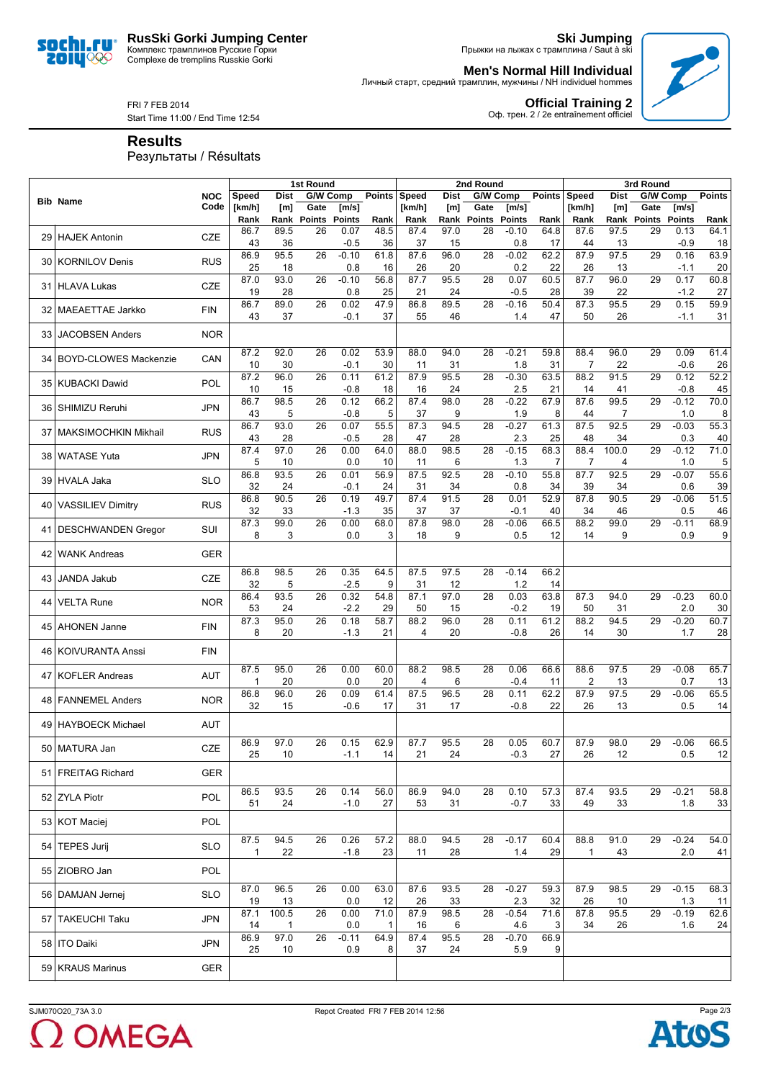**RusSki Gorki Jumping Center** Комплекс трамплинов Русские Горки Complexe de tremplins Russkie Gorki



**Ski Jumping** Прыжки на лыжах с трамплина / Saut à ski

**Men's Normal Hill Individual**



**Official Training 2** Оф. трен. 2 / 2e entraînement officiel

Личный старт, средний трамплин, мужчины / NH individuel hommes

FRI 7 FEB 2014 Start Time 11:00 / End Time 12:54

**Results**

Результаты / Résultats

|      |                              |            |                     |             | 1st Round                    |                |                      | 2nd Round      |             |                     |                        | 3rd Round      |                      |             |                     |                        |               |
|------|------------------------------|------------|---------------------|-------------|------------------------------|----------------|----------------------|----------------|-------------|---------------------|------------------------|----------------|----------------------|-------------|---------------------|------------------------|---------------|
|      | <b>Bib Name</b>              | <b>NOC</b> | <b>Speed</b>        | <b>Dist</b> | G/W Comp                     |                | <b>Points</b>        | Speed          | <b>Dist</b> | G/W Comp            |                        | <b>Points</b>  | <b>Speed</b>         | <b>Dist</b> | G/W Comp            |                        | <b>Points</b> |
|      |                              | Code       | [km/h]<br>Rank      | [m]<br>Rank | Gate<br><b>Points Points</b> | [m/s]          | Rank                 | [km/h]<br>Rank | [m]         | Gate<br>Rank Points | [m/s]<br><b>Points</b> | Rank           | [km/h]<br>Rank       | [m]         | Gate<br>Rank Points | [m/s]<br><b>Points</b> | Rank          |
|      |                              |            | 86.7                | 89.5        | 26                           | 0.07           | 48.5                 | 87.4           | 97.0        | 28                  | $-0.10$                | 64.8           | 87.6                 | 97.5        | 29                  | 0.13                   | 64.1          |
| 29 I | <b>HAJEK Antonin</b>         | CZE        | 43                  | 36          |                              | -0.5           | 36                   | 37             | 15          |                     | 0.8                    | 17             | 44                   | 13          |                     | $-0.9$                 | 18            |
| 30   | <b>KORNILOV Denis</b>        | <b>RUS</b> | 86.9<br>25          | 95.5<br>18  | 26                           | $-0.10$<br>0.8 | 61.8<br>16           | 87.6<br>26     | 96.0<br>20  | 28                  | $-0.02$<br>0.2         | 62.2<br>22     | 87.9<br>26           | 97.5<br>13  | 29                  | 0.16<br>$-1.1$         | 63.9<br>20    |
|      |                              |            | 87.0                | 93.0        | 26                           | $-0.10$        | 56.8                 | 87.7           | 95.5        | 28                  | 0.07                   | 60.5           | 87.7                 | 96.0        | 29                  | 0.17                   | 60.8          |
|      | 31 HLAVA Lukas               | <b>CZE</b> | 19                  | 28          |                              | 0.8            | 25                   | 21             | 24          |                     | $-0.5$                 | 28             | 39                   | 22          |                     | $-1.2$                 | 27            |
|      | 32   MAEAETTAE Jarkko        | <b>FIN</b> | 86.7<br>43          | 89.0<br>37  | 26                           | 0.02<br>$-0.1$ | 47.9<br>37           | 86.8<br>55     | 89.5<br>46  | 28                  | $-0.16$<br>1.4         | 50.4<br>47     | 87.3<br>50           | 95.5<br>26  | 29                  | 0.15<br>$-1.1$         | 59.9<br>31    |
|      | 33 JACOBSEN Anders           | <b>NOR</b> |                     |             |                              |                |                      |                |             |                     |                        |                |                      |             |                     |                        |               |
| 34   | <b>BOYD-CLOWES Mackenzie</b> | CAN        | 87.2<br>10          | 92.0<br>30  | 26                           | 0.02<br>$-0.1$ | 53.9<br>30           | 88.0<br>11     | 94.0<br>31  | 28                  | $-0.21$<br>1.8         | 59.8<br>31     | 88.4<br>7            | 96.0<br>22  | 29                  | 0.09<br>$-0.6$         | 61.4<br>26    |
|      | 35 KUBACKI Dawid             | POL        | 87.2                | 96.0        | 26                           | 0.11           | 61.2                 | 87.9           | 95.5        | 28                  | $-0.30$                | 63.5           | 88.2                 | 91.5        | 29                  | 0.12                   | 52.2          |
|      |                              |            | 10<br>86.7          | 15<br>98.5  | 26                           | $-0.8$<br>0.12 | 18<br>66.2           | 16<br>87.4     | 24<br>98.0  | 28                  | 2.5<br>$-0.22$         | 21<br>67.9     | 14<br>87.6           | 41<br>99.5  | 29                  | $-0.8$<br>$-0.12$      | 45<br>70.0    |
|      | 36 SHIMIZU Reruhi            | <b>JPN</b> | 43                  | 5           |                              | $-0.8$         | 5                    | 37             | 9           |                     | 1.9                    | 8              | 44                   | 7           |                     | 1.0                    | 8             |
|      | 37 MAKSIMOCHKIN Mikhail      | <b>RUS</b> | 86.7                | 93.0        | 26                           | 0.07           | 55.5                 | 87.3           | 94.5        | 28                  | $-0.27$                | 61.3           | 87.5                 | 92.5        | 29                  | $-0.03$                | 55.3          |
|      |                              |            | 43<br>87.4          | 28<br>97.0  | 26                           | $-0.5$<br>0.00 | 28<br>64.0           | 47<br>88.0     | 28<br>98.5  | 28                  | 2.3<br>$-0.15$         | 25<br>68.3     | 48<br>88.4           | 34<br>100.0 | 29                  | 0.3<br>$-0.12$         | 40<br>71.0    |
|      | 38 WATASE Yuta               | <b>JPN</b> | 5                   | 10          |                              | 0.0            | 10                   | 11             | 6           |                     | 1.3                    | $\overline{7}$ | $\overline{7}$       | 4           |                     | 1.0                    | 5             |
|      | 39 HVALA Jaka                | <b>SLO</b> | 86.8                | 93.5        | 26                           | 0.01           | 56.9                 | 87.5           | 92.5        | 28                  | $-0.10$                | 55.8           | 87.7                 | 92.5        | 29                  | $-0.07$                | 55.6          |
|      |                              |            | 32<br>86.8          | 24<br>90.5  | 26                           | $-0.1$<br>0.19 | 24<br>49.7           | 31<br>87.4     | 34<br>91.5  | 28                  | 0.8<br>0.01            | 34<br>52.9     | 39<br>87.8           | 34<br>90.5  | 29                  | 0.6<br>$-0.06$         | 39<br>51.5    |
|      | 40 VASSILIEV Dimitry         | <b>RUS</b> | 32                  | 33          |                              | $-1.3$         | 35                   | 37             | 37          |                     | -0.1                   | 40             | 34                   | 46          |                     | 0.5                    | 46            |
| 41   | <b>DESCHWANDEN Gregor</b>    | SUI        | 87.3<br>8           | 99.0<br>3   | 26                           | 0.00<br>0.0    | 68.0<br>3            | 87.8<br>18     | 98.0<br>9   | 28                  | $-0.06$<br>0.5         | 66.5<br>12     | 88.2<br>14           | 99.0<br>9   | 29                  | $-0.11$<br>0.9         | 68.9<br>9     |
| 42   | <b>WANK Andreas</b>          | <b>GER</b> |                     |             |                              |                |                      |                |             |                     |                        |                |                      |             |                     |                        |               |
|      | 43 JANDA Jakub               | <b>CZE</b> | 86.8<br>32          | 98.5<br>5   | 26                           | 0.35<br>$-2.5$ | 64.5<br>9            | 87.5<br>31     | 97.5<br>12  | 28                  | $-0.14$<br>1.2         | 66.2<br>14     |                      |             |                     |                        |               |
| 44   | <b>VELTA Rune</b>            | <b>NOR</b> | 86.4<br>53          | 93.5<br>24  | 26                           | 0.32<br>$-2.2$ | 54.8<br>29           | 87.1<br>50     | 97.0<br>15  | 28                  | 0.03<br>$-0.2$         | 63.8<br>19     | 87.3<br>50           | 94.0<br>31  | 29                  | $-0.23$<br>2.0         | 60.0<br>30    |
|      | 45   AHONEN Janne            | <b>FIN</b> | 87.3<br>8           | 95.0<br>20  | 26                           | 0.18<br>$-1.3$ | 58.7<br>21           | 88.2<br>4      | 96.0<br>20  | 28                  | 0.11<br>$-0.8$         | 61.2<br>26     | 88.2<br>14           | 94.5<br>30  | 29                  | $-0.20$<br>1.7         | 60.7<br>28    |
|      | 46   KOIVURANTA Anssi        | <b>FIN</b> |                     |             |                              |                |                      |                |             |                     |                        |                |                      |             |                     |                        |               |
| 47   | <b>KOFLER Andreas</b>        | <b>AUT</b> | 87.5<br>$\mathbf 1$ | 95.0<br>20  | 26                           | 0.00<br>0.0    | 60.0<br>20           | 88.2<br>4      | 98.5<br>6   | 28                  | 0.06<br>-0.4           | 66.6<br>11     | 88.6<br>2            | 97.5<br>13  | 29                  | $-0.08$<br>0.7         | 65.7<br>13    |
|      | 48 FANNEMEL Anders           | <b>NOR</b> | 86.8<br>32          | 96.0<br>15  | 26                           | 0.09<br>$-0.6$ | 61.4<br>17           | 87.5<br>31     | 96.5<br>17  | 28                  | 0.11<br>-0.8           | 62.2<br>22     | 87.9<br>26           | 97.5<br>13  | 29                  | $-0.06$<br>0.5         | 65.5<br>14    |
|      | 49 HAYBOECK Michael          | AUT        |                     |             |                              |                |                      |                |             |                     |                        |                |                      |             |                     |                        |               |
|      | 50 MATURA Jan                | CZE        | 86.9<br>25          | 97.0<br>10  | 26                           | 0.15<br>$-1.1$ | 62.9<br>14           | 87.7<br>21     | 95.5<br>24  | 28                  | 0.05<br>$-0.3$         | 60.7<br>27     | 87.9<br>26           | 98.0<br>12  | 29                  | $-0.06$<br>0.5         | 66.5<br>12    |
|      | 51 FREITAG Richard           | <b>GER</b> |                     |             |                              |                |                      |                |             |                     |                        |                |                      |             |                     |                        |               |
|      | 52 ZYLA Piotr                | <b>POL</b> | 86.5<br>51          | 93.5<br>24  | 26                           | 0.14<br>$-1.0$ | 56.0<br>27           | 86.9<br>53     | 94.0<br>31  | 28                  | 0.10<br>$-0.7$         | 57.3<br>33     | 87.4<br>49           | 93.5<br>33  | 29                  | $-0.21$<br>1.8         | 58.8<br>33    |
|      | 53 KOT Maciej                | POL        |                     |             |                              |                |                      |                |             |                     |                        |                |                      |             |                     |                        |               |
|      | 54 TEPES Jurij               | <b>SLO</b> | 87.5<br>$\mathbf 1$ | 94.5<br>22  | 26                           | 0.26<br>$-1.8$ | 57.2<br>23           | 88.0<br>11     | 94.5<br>28  | 28                  | $-0.17$<br>1.4         | 60.4<br>29     | 88.8<br>$\mathbf{1}$ | 91.0<br>43  | 29                  | $-0.24$<br>2.0         | 54.0<br>41    |
|      | 55 ZIOBRO Jan                | POL        |                     |             |                              |                |                      |                |             |                     |                        |                |                      |             |                     |                        |               |
|      | 56 DAMJAN Jernej             | <b>SLO</b> | 87.0<br>19          | 96.5<br>13  | 26                           | 0.00<br>0.0    | 63.0<br>12           | 87.6<br>26     | 93.5<br>33  | 28                  | $-0.27$<br>2.3         | 59.3<br>32     | 87.9<br>26           | 98.5<br>10  | 29                  | $-0.15$<br>1.3         | 68.3<br>11    |
|      | 57 TAKEUCHI Taku             | JPN        | 87.1<br>14          | 100.5<br>1  | 26                           | 0.00<br>0.0    | 71.0<br>$\mathbf{1}$ | 87.9<br>16     | 98.5<br>6   | 28                  | $-0.54$<br>4.6         | 71.6<br>3      | 87.8<br>34           | 95.5<br>26  | 29                  | $-0.19$<br>1.6         | 62.6<br>24    |
|      | 58 ITO Daiki                 | JPN        | 86.9<br>25          | 97.0<br>10  | 26                           | $-0.11$<br>0.9 | 64.9<br>8            | 87.4<br>37     | 95.5<br>24  | 28                  | $-0.70$<br>5.9         | 66.9<br>9      |                      |             |                     |                        |               |
|      | 59 KRAUS Marinus             | GER        |                     |             |                              |                |                      |                |             |                     |                        |                |                      |             |                     |                        |               |